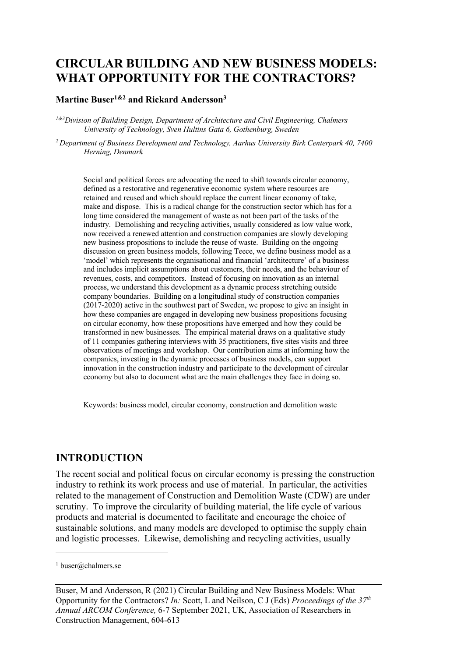# **CIRCULAR BUILDING AND NEW BUSINESS MODELS: WHAT OPPORTUNITY FOR THE CONTRACTORS?**

### **Martine Buser1&2 and Rickard Andersson3**

*1&3Division of Building Design, Department of Architecture and Civil Engineering, Chalmers University of Technology, Sven Hultins Gata 6, Gothenburg, Sweden* 

*2 Department of Business Development and Technology, Aarhus University Birk Centerpark 40, 7400 Herning, Denmark*

Social and political forces are advocating the need to shift towards circular economy, defined as a restorative and regenerative economic system where resources are retained and reused and which should replace the current linear economy of take, make and dispose. This is a radical change for the construction sector which has for a long time considered the management of waste as not been part of the tasks of the industry. Demolishing and recycling activities, usually considered as low value work, now received a renewed attention and construction companies are slowly developing new business propositions to include the reuse of waste. Building on the ongoing discussion on green business models, following Teece, we define business model as a 'model' which represents the organisational and financial 'architecture' of a business and includes implicit assumptions about customers, their needs, and the behaviour of revenues, costs, and competitors. Instead of focusing on innovation as an internal process, we understand this development as a dynamic process stretching outside company boundaries. Building on a longitudinal study of construction companies (2017-2020) active in the southwest part of Sweden, we propose to give an insight in how these companies are engaged in developing new business propositions focusing on circular economy, how these propositions have emerged and how they could be transformed in new businesses. The empirical material draws on a qualitative study of 11 companies gathering interviews with 35 practitioners, five sites visits and three observations of meetings and workshop. Our contribution aims at informing how the companies, investing in the dynamic processes of business models, can support innovation in the construction industry and participate to the development of circular economy but also to document what are the main challenges they face in doing so.

Keywords: business model, circular economy, construction and demolition waste

### **INTRODUCTION**

The recent social and political focus on circular economy is pressing the construction industry to rethink its work process and use of material. In particular, the activities related to the management of Construction and Demolition Waste (CDW) are under scrutiny. To improve the circularity of building material, the life cycle of various products and material is documented to facilitate and encourage the choice of sustainable solutions, and many models are developed to optimise the supply chain and logistic processes. Likewise, demolishing and recycling activities, usually

<sup>&</sup>lt;sup>1</sup> buser@chalmers.se

Buser, M and Andersson, R (2021) Circular Building and New Business Models: What Opportunity for the Contractors? *In:* Scott, L and Neilson, C J (Eds) *Proceedings of the 37th Annual ARCOM Conference,* 6-7 September 2021, UK, Association of Researchers in Construction Management, 604-613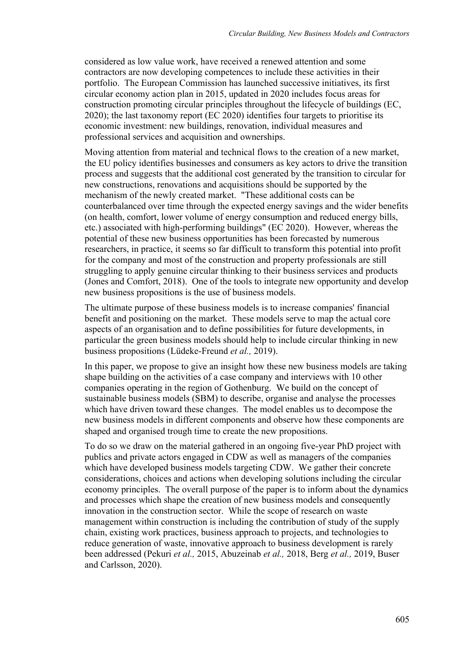considered as low value work, have received a renewed attention and some contractors are now developing competences to include these activities in their portfolio. The European Commission has launched successive initiatives, its first circular economy action plan in 2015, updated in 2020 includes focus areas for construction promoting circular principles throughout the lifecycle of buildings (EC, 2020); the last taxonomy report (EC 2020) identifies four targets to prioritise its economic investment: new buildings, renovation, individual measures and professional services and acquisition and ownerships.

Moving attention from material and technical flows to the creation of a new market, the EU policy identifies businesses and consumers as key actors to drive the transition process and suggests that the additional cost generated by the transition to circular for new constructions, renovations and acquisitions should be supported by the mechanism of the newly created market. "These additional costs can be counterbalanced over time through the expected energy savings and the wider benefits (on health, comfort, lower volume of energy consumption and reduced energy bills, etc.) associated with high-performing buildings" (EC 2020). However, whereas the potential of these new business opportunities has been forecasted by numerous researchers, in practice, it seems so far difficult to transform this potential into profit for the company and most of the construction and property professionals are still struggling to apply genuine circular thinking to their business services and products (Jones and Comfort, 2018). One of the tools to integrate new opportunity and develop new business propositions is the use of business models.

The ultimate purpose of these business models is to increase companies' financial benefit and positioning on the market. These models serve to map the actual core aspects of an organisation and to define possibilities for future developments, in particular the green business models should help to include circular thinking in new business propositions (Lüdeke‐Freund *et al.,* 2019).

In this paper, we propose to give an insight how these new business models are taking shape building on the activities of a case company and interviews with 10 other companies operating in the region of Gothenburg. We build on the concept of sustainable business models (SBM) to describe, organise and analyse the processes which have driven toward these changes. The model enables us to decompose the new business models in different components and observe how these components are shaped and organised trough time to create the new propositions.

To do so we draw on the material gathered in an ongoing five-year PhD project with publics and private actors engaged in CDW as well as managers of the companies which have developed business models targeting CDW. We gather their concrete considerations, choices and actions when developing solutions including the circular economy principles. The overall purpose of the paper is to inform about the dynamics and processes which shape the creation of new business models and consequently innovation in the construction sector. While the scope of research on waste management within construction is including the contribution of study of the supply chain, existing work practices, business approach to projects, and technologies to reduce generation of waste, innovative approach to business development is rarely been addressed (Pekuri *et al.,* 2015, Abuzeinab *et al.,* 2018, Berg *et al.,* 2019, Buser and Carlsson, 2020).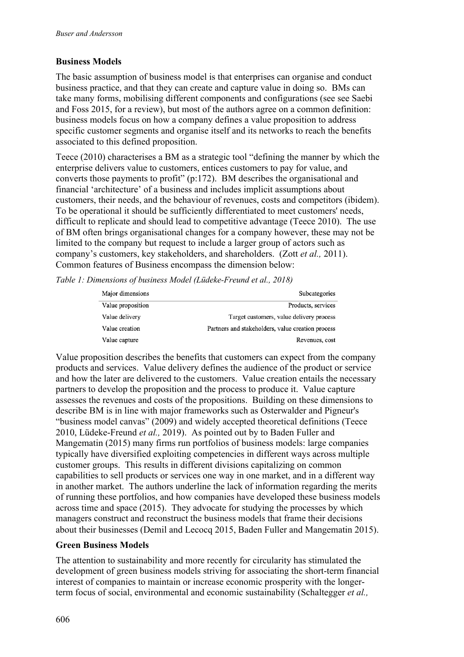#### **Business Models**

The basic assumption of business model is that enterprises can organise and conduct business practice, and that they can create and capture value in doing so. BMs can take many forms, mobilising different components and configurations (see see Saebi and Foss 2015, for a review), but most of the authors agree on a common definition: business models focus on how a company defines a value proposition to address specific customer segments and organise itself and its networks to reach the benefits associated to this defined proposition.

Teece (2010) characterises a BM as a strategic tool "defining the manner by which the enterprise delivers value to customers, entices customers to pay for value, and converts those payments to profit" (p:172). BM describes the organisational and financial 'architecture' of a business and includes implicit assumptions about customers, their needs, and the behaviour of revenues, costs and competitors (ibidem). To be operational it should be sufficiently differentiated to meet customers' needs, difficult to replicate and should lead to competitive advantage (Teece 2010). The use of BM often brings organisational changes for a company however, these may not be limited to the company but request to include a larger group of actors such as company's customers, key stakeholders, and shareholders. (Zott *et al.,* 2011). Common features of Business encompass the dimension below:

*Table 1: Dimensions of business Model (Lüdeke-Freund et al., 2018)*

| Major dimensions  | Subcategories                                     |
|-------------------|---------------------------------------------------|
| Value proposition | Products, services                                |
| Value delivery    | Target customers, value delivery process          |
| Value creation    | Partners and stakeholders, value creation process |
| Value capture     | Revenues, cost                                    |

Value proposition describes the benefits that customers can expect from the company products and services. Value delivery defines the audience of the product or service and how the later are delivered to the customers. Value creation entails the necessary partners to develop the proposition and the process to produce it. Value capture assesses the revenues and costs of the propositions. Building on these dimensions to describe BM is in line with major frameworks such as Osterwalder and Pigneur's "business model canvas" (2009) and widely accepted theoretical definitions (Teece 2010, Lüdeke-Freund *et al.,* 2019). As pointed out by to Baden Fuller and Mangematin (2015) many firms run portfolios of business models: large companies typically have diversified exploiting competencies in different ways across multiple customer groups. This results in different divisions capitalizing on common capabilities to sell products or services one way in one market, and in a different way in another market. The authors underline the lack of information regarding the merits of running these portfolios, and how companies have developed these business models across time and space (2015). They advocate for studying the processes by which managers construct and reconstruct the business models that frame their decisions about their businesses (Demil and Lecocq 2015, Baden Fuller and Mangematin 2015).

#### **Green Business Models**

The attention to sustainability and more recently for circularity has stimulated the development of green business models striving for associating the short-term financial interest of companies to maintain or increase economic prosperity with the longerterm focus of social, environmental and economic sustainability (Schaltegger *et al.,*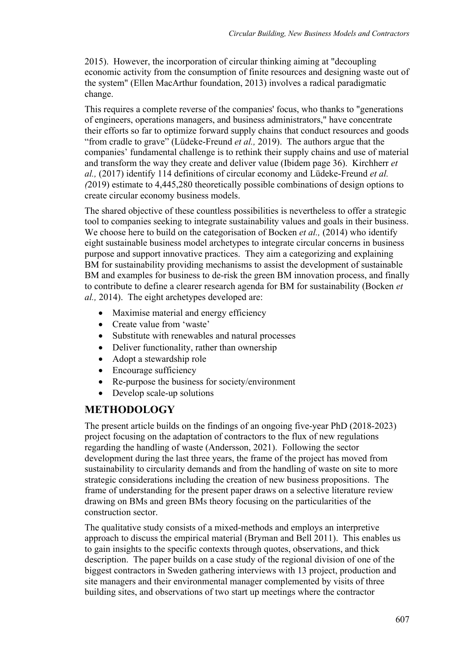2015). However, the incorporation of circular thinking aiming at "decoupling economic activity from the consumption of finite resources and designing waste out of the system" (Ellen MacArthur foundation, 2013) involves a radical paradigmatic change.

This requires a complete reverse of the companies' focus, who thanks to "generations of engineers, operations managers, and business administrators," have concentrate their efforts so far to optimize forward supply chains that conduct resources and goods "from cradle to grave" (Lüdeke-Freund *et al.,* 2019). The authors argue that the companies' fundamental challenge is to rethink their supply chains and use of material and transform the way they create and deliver value (Ibidem page 36). Kirchherr *et al.,* (2017) identify 114 definitions of circular economy and Lüdeke-Freund *et al. (*2019) estimate to 4,445,280 theoretically possible combinations of design options to create circular economy business models.

The shared objective of these countless possibilities is nevertheless to offer a strategic tool to companies seeking to integrate sustainability values and goals in their business. We choose here to build on the categorisation of Bocken *et al.*, (2014) who identify eight sustainable business model archetypes to integrate circular concerns in business purpose and support innovative practices. They aim a categorizing and explaining BM for sustainability providing mechanisms to assist the development of sustainable BM and examples for business to de-risk the green BM innovation process, and finally to contribute to define a clearer research agenda for BM for sustainability (Bocken *et al.,* 2014). The eight archetypes developed are:

- Maximise material and energy efficiency
- Create value from 'waste'
- Substitute with renewables and natural processes
- Deliver functionality, rather than ownership
- Adopt a stewardship role
- Encourage sufficiency
- Re-purpose the business for society/environment
- Develop scale-up solutions

## **METHODOLOGY**

The present article builds on the findings of an ongoing five-year PhD (2018-2023) project focusing on the adaptation of contractors to the flux of new regulations regarding the handling of waste (Andersson, 2021). Following the sector development during the last three years, the frame of the project has moved from sustainability to circularity demands and from the handling of waste on site to more strategic considerations including the creation of new business propositions. The frame of understanding for the present paper draws on a selective literature review drawing on BMs and green BMs theory focusing on the particularities of the construction sector.

The qualitative study consists of a mixed-methods and employs an interpretive approach to discuss the empirical material (Bryman and Bell 2011). This enables us to gain insights to the specific contexts through quotes, observations, and thick description. The paper builds on a case study of the regional division of one of the biggest contractors in Sweden gathering interviews with 13 project, production and site managers and their environmental manager complemented by visits of three building sites, and observations of two start up meetings where the contractor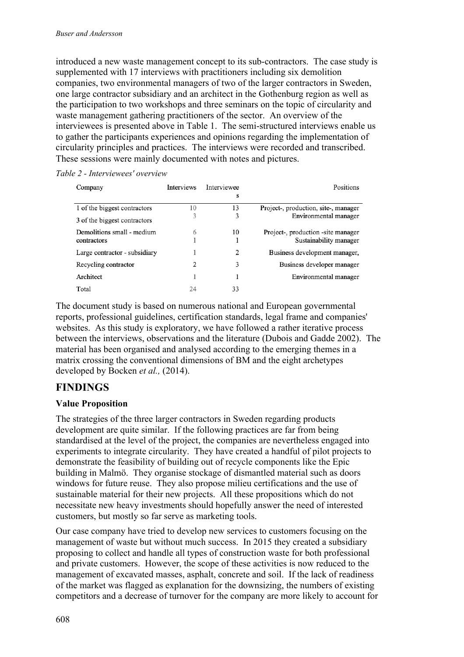introduced a new waste management concept to its sub-contractors. The case study is supplemented with 17 interviews with practitioners including six demolition companies, two environmental managers of two of the larger contractors in Sweden, one large contractor subsidiary and an architect in the Gothenburg region as well as the participation to two workshops and three seminars on the topic of circularity and waste management gathering practitioners of the sector. An overview of the interviewees is presented above in Table 1. The semi-structured interviews enable us to gather the participants experiences and opinions regarding the implementation of circularity principles and practices. The interviews were recorded and transcribed. These sessions were mainly documented with notes and pictures.

| Table 2 - Interviewees' overview |  |
|----------------------------------|--|
|                                  |  |

| Company                       | <b>Interviews</b> | Interviewee<br>s | Positions                            |
|-------------------------------|-------------------|------------------|--------------------------------------|
| 1 of the biggest contractors  | 10                | 13               | Project-, production, site-, manager |
| 3 of the biggest contractors  | 3                 | 3                | Environmental manager                |
| Demolitions small - medium    | 6                 | 10               | Project-, production -site manager   |
| contractors                   |                   |                  | Sustainability manager               |
| Large contractor - subsidiary |                   | 2                | Business development manager,        |
| Recycling contractor          | 2                 | 3                | Business developer manager           |
| Architect                     |                   |                  | Environmental manager                |
| Total                         | 24                | 33               |                                      |

The document study is based on numerous national and European governmental reports, professional guidelines, certification standards, legal frame and companies' websites. As this study is exploratory, we have followed a rather iterative process between the interviews, observations and the literature (Dubois and Gadde 2002). The material has been organised and analysed according to the emerging themes in a matrix crossing the conventional dimensions of BM and the eight archetypes developed by Bocken *et al.,* (2014).

## **FINDINGS**

#### **Value Proposition**

The strategies of the three larger contractors in Sweden regarding products development are quite similar. If the following practices are far from being standardised at the level of the project, the companies are nevertheless engaged into experiments to integrate circularity. They have created a handful of pilot projects to demonstrate the feasibility of building out of recycle components like the Epic building in Malmö. They organise stockage of dismantled material such as doors windows for future reuse. They also propose milieu certifications and the use of sustainable material for their new projects. All these propositions which do not necessitate new heavy investments should hopefully answer the need of interested customers, but mostly so far serve as marketing tools.

Our case company have tried to develop new services to customers focusing on the management of waste but without much success. In 2015 they created a subsidiary proposing to collect and handle all types of construction waste for both professional and private customers. However, the scope of these activities is now reduced to the management of excavated masses, asphalt, concrete and soil. If the lack of readiness of the market was flagged as explanation for the downsizing, the numbers of existing competitors and a decrease of turnover for the company are more likely to account for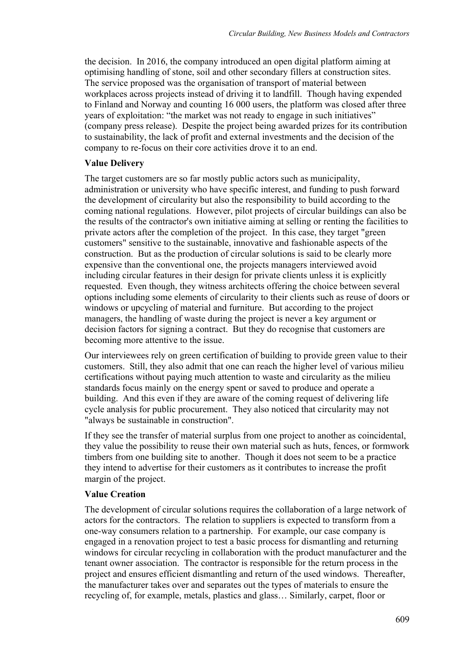the decision. In 2016, the company introduced an open digital platform aiming at optimising handling of stone, soil and other secondary fillers at construction sites. The service proposed was the organisation of transport of material between workplaces across projects instead of driving it to landfill. Though having expended to Finland and Norway and counting 16 000 users, the platform was closed after three years of exploitation: "the market was not ready to engage in such initiatives" (company press release). Despite the project being awarded prizes for its contribution to sustainability, the lack of profit and external investments and the decision of the company to re-focus on their core activities drove it to an end.

#### **Value Delivery**

The target customers are so far mostly public actors such as municipality, administration or university who have specific interest, and funding to push forward the development of circularity but also the responsibility to build according to the coming national regulations. However, pilot projects of circular buildings can also be the results of the contractor's own initiative aiming at selling or renting the facilities to private actors after the completion of the project. In this case, they target "green customers" sensitive to the sustainable, innovative and fashionable aspects of the construction. But as the production of circular solutions is said to be clearly more expensive than the conventional one, the projects managers interviewed avoid including circular features in their design for private clients unless it is explicitly requested. Even though, they witness architects offering the choice between several options including some elements of circularity to their clients such as reuse of doors or windows or upcycling of material and furniture. But according to the project managers, the handling of waste during the project is never a key argument or decision factors for signing a contract. But they do recognise that customers are becoming more attentive to the issue.

Our interviewees rely on green certification of building to provide green value to their customers. Still, they also admit that one can reach the higher level of various milieu certifications without paying much attention to waste and circularity as the milieu standards focus mainly on the energy spent or saved to produce and operate a building. And this even if they are aware of the coming request of delivering life cycle analysis for public procurement. They also noticed that circularity may not "always be sustainable in construction".

If they see the transfer of material surplus from one project to another as coincidental, they value the possibility to reuse their own material such as huts, fences, or formwork timbers from one building site to another. Though it does not seem to be a practice they intend to advertise for their customers as it contributes to increase the profit margin of the project.

#### **Value Creation**

The development of circular solutions requires the collaboration of a large network of actors for the contractors. The relation to suppliers is expected to transform from a one-way consumers relation to a partnership. For example, our case company is engaged in a renovation project to test a basic process for dismantling and returning windows for circular recycling in collaboration with the product manufacturer and the tenant owner association. The contractor is responsible for the return process in the project and ensures efficient dismantling and return of the used windows. Thereafter, the manufacturer takes over and separates out the types of materials to ensure the recycling of, for example, metals, plastics and glass… Similarly, carpet, floor or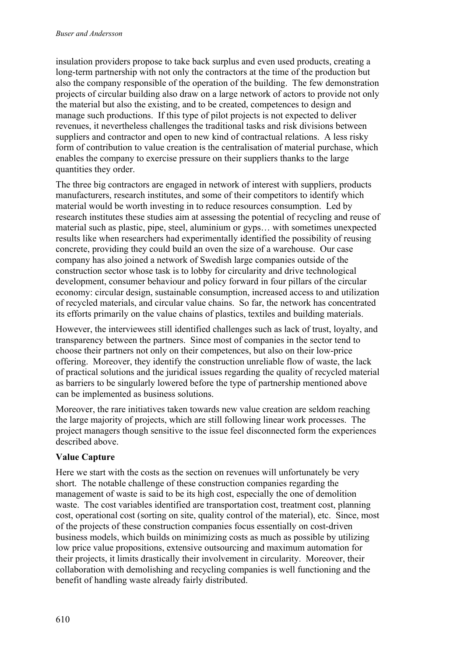insulation providers propose to take back surplus and even used products, creating a long-term partnership with not only the contractors at the time of the production but also the company responsible of the operation of the building. The few demonstration projects of circular building also draw on a large network of actors to provide not only the material but also the existing, and to be created, competences to design and manage such productions. If this type of pilot projects is not expected to deliver revenues, it nevertheless challenges the traditional tasks and risk divisions between suppliers and contractor and open to new kind of contractual relations. A less risky form of contribution to value creation is the centralisation of material purchase, which enables the company to exercise pressure on their suppliers thanks to the large quantities they order.

The three big contractors are engaged in network of interest with suppliers, products manufacturers, research institutes, and some of their competitors to identify which material would be worth investing in to reduce resources consumption. Led by research institutes these studies aim at assessing the potential of recycling and reuse of material such as plastic, pipe, steel, aluminium or gyps… with sometimes unexpected results like when researchers had experimentally identified the possibility of reusing concrete, providing they could build an oven the size of a warehouse. Our case company has also joined a network of Swedish large companies outside of the construction sector whose task is to lobby for circularity and drive technological development, consumer behaviour and policy forward in four pillars of the circular economy: circular design, sustainable consumption, increased access to and utilization of recycled materials, and circular value chains. So far, the network has concentrated its efforts primarily on the value chains of plastics, textiles and building materials.

However, the interviewees still identified challenges such as lack of trust, loyalty, and transparency between the partners. Since most of companies in the sector tend to choose their partners not only on their competences, but also on their low-price offering. Moreover, they identify the construction unreliable flow of waste, the lack of practical solutions and the juridical issues regarding the quality of recycled material as barriers to be singularly lowered before the type of partnership mentioned above can be implemented as business solutions.

Moreover, the rare initiatives taken towards new value creation are seldom reaching the large majority of projects, which are still following linear work processes. The project managers though sensitive to the issue feel disconnected form the experiences described above.

### **Value Capture**

Here we start with the costs as the section on revenues will unfortunately be very short. The notable challenge of these construction companies regarding the management of waste is said to be its high cost, especially the one of demolition waste. The cost variables identified are transportation cost, treatment cost, planning cost, operational cost (sorting on site, quality control of the material), etc. Since, most of the projects of these construction companies focus essentially on cost-driven business models, which builds on minimizing costs as much as possible by utilizing low price value propositions, extensive outsourcing and maximum automation for their projects, it limits drastically their involvement in circularity. Moreover, their collaboration with demolishing and recycling companies is well functioning and the benefit of handling waste already fairly distributed.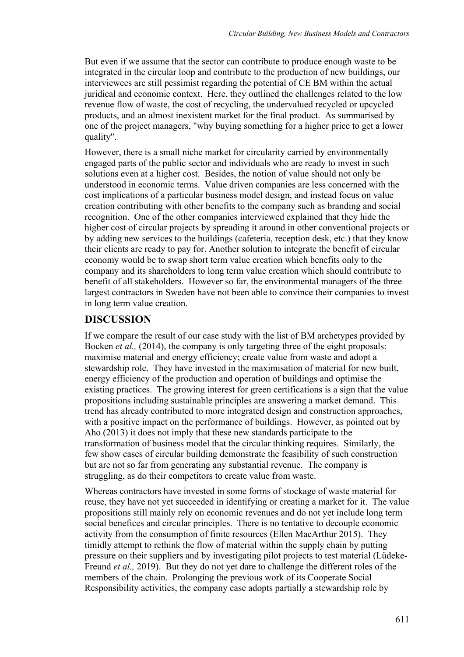But even if we assume that the sector can contribute to produce enough waste to be integrated in the circular loop and contribute to the production of new buildings, our interviewees are still pessimist regarding the potential of CE BM within the actual juridical and economic context. Here, they outlined the challenges related to the low revenue flow of waste, the cost of recycling, the undervalued recycled or upcycled products, and an almost inexistent market for the final product. As summarised by one of the project managers, "why buying something for a higher price to get a lower quality".

However, there is a small niche market for circularity carried by environmentally engaged parts of the public sector and individuals who are ready to invest in such solutions even at a higher cost. Besides, the notion of value should not only be understood in economic terms. Value driven companies are less concerned with the cost implications of a particular business model design, and instead focus on value creation contributing with other benefits to the company such as branding and social recognition. One of the other companies interviewed explained that they hide the higher cost of circular projects by spreading it around in other conventional projects or by adding new services to the buildings (cafeteria, reception desk, etc.) that they know their clients are ready to pay for. Another solution to integrate the benefit of circular economy would be to swap short term value creation which benefits only to the company and its shareholders to long term value creation which should contribute to benefit of all stakeholders. However so far, the environmental managers of the three largest contractors in Sweden have not been able to convince their companies to invest in long term value creation.

## **DISCUSSION**

If we compare the result of our case study with the list of BM archetypes provided by Bocken *et al.*, (2014), the company is only targeting three of the eight proposals: maximise material and energy efficiency; create value from waste and adopt a stewardship role. They have invested in the maximisation of material for new built, energy efficiency of the production and operation of buildings and optimise the existing practices. The growing interest for green certifications is a sign that the value propositions including sustainable principles are answering a market demand. This trend has already contributed to more integrated design and construction approaches, with a positive impact on the performance of buildings. However, as pointed out by Aho (2013) it does not imply that these new standards participate to the transformation of business model that the circular thinking requires. Similarly, the few show cases of circular building demonstrate the feasibility of such construction but are not so far from generating any substantial revenue. The company is struggling, as do their competitors to create value from waste.

Whereas contractors have invested in some forms of stockage of waste material for reuse, they have not yet succeeded in identifying or creating a market for it. The value propositions still mainly rely on economic revenues and do not yet include long term social benefices and circular principles. There is no tentative to decouple economic activity from the consumption of finite resources (Ellen MacArthur 2015). They timidly attempt to rethink the flow of material within the supply chain by putting pressure on their suppliers and by investigating pilot projects to test material (Lüdeke-Freund *et al.,* 2019). But they do not yet dare to challenge the different roles of the members of the chain. Prolonging the previous work of its Cooperate Social Responsibility activities, the company case adopts partially a stewardship role by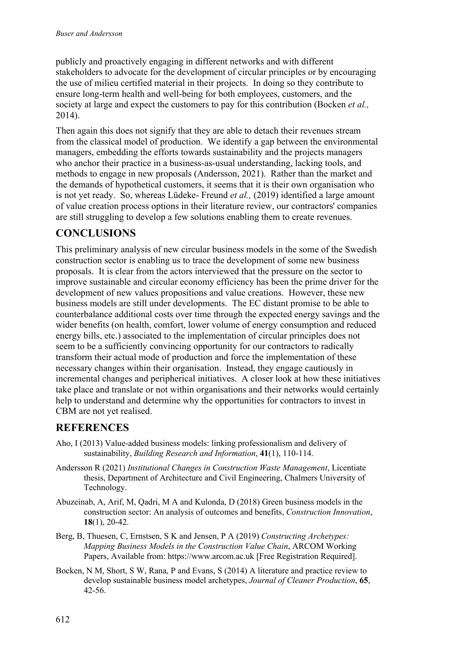publicly and proactively engaging in different networks and with different stakeholders to advocate for the development of circular principles or by encouraging the use of milieu certified material in their projects. In doing so they contribute to ensure long-term health and well-being for both employees, customers, and the society at large and expect the customers to pay for this contribution (Bocken *et al.,*  2014).

Then again this does not signify that they are able to detach their revenues stream from the classical model of production. We identify a gap between the environmental managers, embedding the efforts towards sustainability and the projects managers who anchor their practice in a business-as-usual understanding, lacking tools, and methods to engage in new proposals (Andersson, 2021). Rather than the market and the demands of hypothetical customers, it seems that it is their own organisation who is not yet ready. So, whereas Lüdeke- Freund *et al.,* (2019) identified a large amount of value creation process options in their literature review, our contractors' companies are still struggling to develop a few solutions enabling them to create revenues.

# **CONCLUSIONS**

This preliminary analysis of new circular business models in the some of the Swedish construction sector is enabling us to trace the development of some new business proposals. It is clear from the actors interviewed that the pressure on the sector to improve sustainable and circular economy efficiency has been the prime driver for the development of new values propositions and value creations. However, these new business models are still under developments. The EC distant promise to be able to counterbalance additional costs over time through the expected energy savings and the wider benefits (on health, comfort, lower volume of energy consumption and reduced energy bills, etc.) associated to the implementation of circular principles does not seem to be a sufficiently convincing opportunity for our contractors to radically transform their actual mode of production and force the implementation of these necessary changes within their organisation. Instead, they engage cautiously in incremental changes and peripherical initiatives. A closer look at how these initiatives take place and translate or not within organisations and their networks would certainly help to understand and determine why the opportunities for contractors to invest in CBM are not yet realised.

## **REFERENCES**

- Aho, I (2013) Value-added business models: linking professionalism and delivery of sustainability, *Building Research and Information*, **41**(1), 110-114.
- Andersson R (2021) *Institutional Changes in Construction Waste Management*, Licentiate thesis, Department of Architecture and Civil Engineering, Chalmers University of Technology.
- Abuzeinab, A, Arif, M, Qadri, M A and Kulonda, D (2018) Green business models in the construction sector: An analysis of outcomes and benefits, *Construction Innovation*, **18**(1), 20-42.
- Berg, B, Thuesen, C, Ernstsen, S K and Jensen, P A (2019) *Constructing Archetypes: Mapping Business Models in the Construction Value Chain*, ARCOM Working Papers, Available from: https://www.arcom.ac.uk [Free Registration Required].
- Bocken, N M, Short, S W, Rana, P and Evans, S (2014) A literature and practice review to develop sustainable business model archetypes, *Journal of Cleaner Production*, **65**, 42-56.